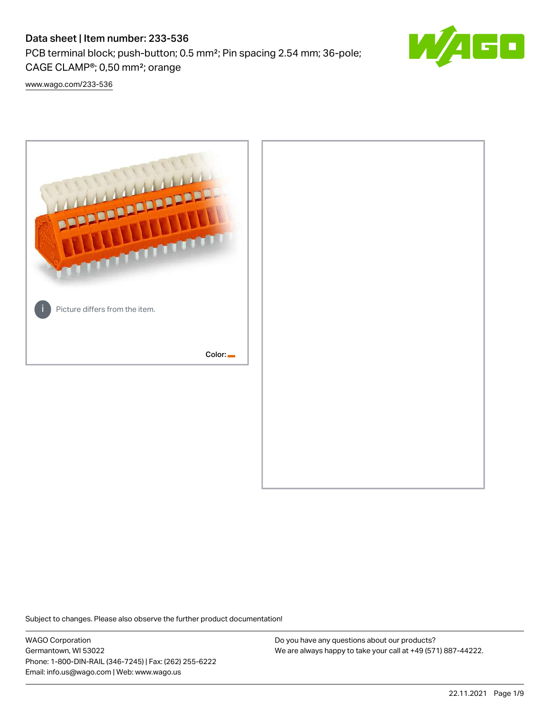# Data sheet | Item number: 233-536

PCB terminal block; push-button; 0.5 mm²; Pin spacing 2.54 mm; 36-pole; CAGE CLAMP®; 0,50 mm²; orange



[www.wago.com/233-536](http://www.wago.com/233-536)



Subject to changes. Please also observe the further product documentation!

WAGO Corporation Germantown, WI 53022 Phone: 1-800-DIN-RAIL (346-7245) | Fax: (262) 255-6222 Email: info.us@wago.com | Web: www.wago.us

Do you have any questions about our products? We are always happy to take your call at +49 (571) 887-44222.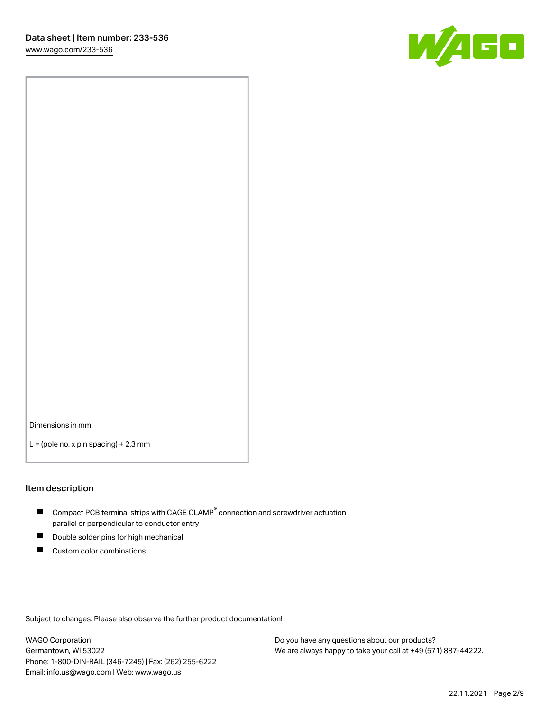

Dimensions in mm

 $L =$  (pole no. x pin spacing) + 2.3 mm

#### Item description

- $\blacksquare$  Compact PCB terminal strips with CAGE CLAMP<sup>®</sup> connection and screwdriver actuation parallel or perpendicular to conductor entry
- П Double solder pins for high mechanical
- $\blacksquare$ Custom color combinations

Subject to changes. Please also observe the further product documentation!

WAGO Corporation Germantown, WI 53022 Phone: 1-800-DIN-RAIL (346-7245) | Fax: (262) 255-6222 Email: info.us@wago.com | Web: www.wago.us

Do you have any questions about our products? We are always happy to take your call at +49 (571) 887-44222.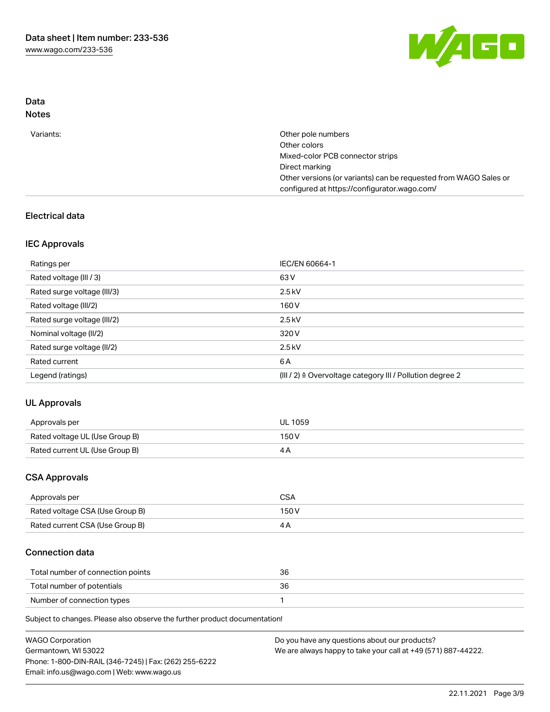

## Data Notes

| Variants: | Other pole numbers                                               |
|-----------|------------------------------------------------------------------|
|           | Other colors                                                     |
|           | Mixed-color PCB connector strips                                 |
|           | Direct marking                                                   |
|           | Other versions (or variants) can be requested from WAGO Sales or |
|           | configured at https://configurator.wago.com/                     |

## Electrical data

## IEC Approvals

| Ratings per                 | IEC/EN 60664-1                                                        |
|-----------------------------|-----------------------------------------------------------------------|
| Rated voltage (III / 3)     | 63 V                                                                  |
| Rated surge voltage (III/3) | $2.5$ kV                                                              |
| Rated voltage (III/2)       | 160 V                                                                 |
| Rated surge voltage (III/2) | $2.5$ kV                                                              |
| Nominal voltage (II/2)      | 320 V                                                                 |
| Rated surge voltage (II/2)  | $2.5$ kV                                                              |
| Rated current               | 6 A                                                                   |
| Legend (ratings)            | $(III / 2)$ $\triangle$ Overvoltage category III / Pollution degree 2 |

# UL Approvals

| Approvals per                  | <b>UL 1059</b> |
|--------------------------------|----------------|
| Rated voltage UL (Use Group B) | 150V           |
| Rated current UL (Use Group B) |                |

## CSA Approvals

| Approvals per                   | CSA   |
|---------------------------------|-------|
| Rated voltage CSA (Use Group B) | 150 V |
| Rated current CSA (Use Group B) |       |

## Connection data

| Total number of connection points | 36 |
|-----------------------------------|----|
| Total number of potentials        |    |
| Number of connection types        |    |

Subject to changes. Please also observe the further product documentation!

| <b>WAGO Corporation</b>                                | Do you have any questions about our products?                 |
|--------------------------------------------------------|---------------------------------------------------------------|
| Germantown, WI 53022                                   | We are always happy to take your call at +49 (571) 887-44222. |
| Phone: 1-800-DIN-RAIL (346-7245)   Fax: (262) 255-6222 |                                                               |
| Email: info.us@wago.com   Web: www.wago.us             |                                                               |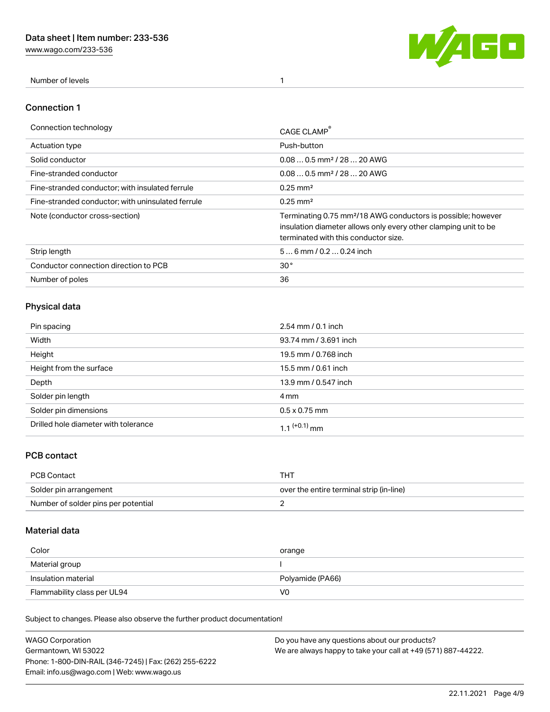[www.wago.com/233-536](http://www.wago.com/233-536)



Number of levels 1

### Connection 1

| Connection technology                             | CAGE CLAMP                                                                                                                                                                          |
|---------------------------------------------------|-------------------------------------------------------------------------------------------------------------------------------------------------------------------------------------|
| Actuation type                                    | Push-button                                                                                                                                                                         |
| Solid conductor                                   | $0.080.5$ mm <sup>2</sup> / 28  20 AWG                                                                                                                                              |
| Fine-stranded conductor                           | $0.080.5$ mm <sup>2</sup> / 28  20 AWG                                                                                                                                              |
| Fine-stranded conductor; with insulated ferrule   | $0.25 \text{ mm}^2$                                                                                                                                                                 |
| Fine-stranded conductor; with uninsulated ferrule | $0.25 \text{ mm}^2$                                                                                                                                                                 |
| Note (conductor cross-section)                    | Terminating 0.75 mm <sup>2</sup> /18 AWG conductors is possible; however<br>insulation diameter allows only every other clamping unit to be<br>terminated with this conductor size. |
| Strip length                                      | $56$ mm $/ 0.20.24$ inch                                                                                                                                                            |
| Conductor connection direction to PCB             | 30 <sup>°</sup>                                                                                                                                                                     |
| Number of poles                                   | 36                                                                                                                                                                                  |

# Physical data

| Pin spacing                          | $2.54$ mm $/ 0.1$ inch   |
|--------------------------------------|--------------------------|
| Width                                | 93.74 mm / 3.691 inch    |
| Height                               | 19.5 mm / 0.768 inch     |
| Height from the surface              | 15.5 mm / 0.61 inch      |
| Depth                                | 13.9 mm / 0.547 inch     |
| Solder pin length                    | 4 mm                     |
| Solder pin dimensions                | $0.5 \times 0.75$ mm     |
| Drilled hole diameter with tolerance | 1.1 <sup>(+0.1)</sup> mm |

# PCB contact

| PCB Contact                         | тнт                                      |
|-------------------------------------|------------------------------------------|
| Solder pin arrangement              | over the entire terminal strip (in-line) |
| Number of solder pins per potential |                                          |

## Material data

| Color                       | orange           |
|-----------------------------|------------------|
| Material group              |                  |
| Insulation material         | Polyamide (PA66) |
| Flammability class per UL94 | V0               |

Subject to changes. Please also observe the further product documentation!

| <b>WAGO Corporation</b>                                | Do you have any questions about our products?                 |
|--------------------------------------------------------|---------------------------------------------------------------|
| Germantown, WI 53022                                   | We are always happy to take your call at +49 (571) 887-44222. |
| Phone: 1-800-DIN-RAIL (346-7245)   Fax: (262) 255-6222 |                                                               |
| Email: info.us@wago.com   Web: www.wago.us             |                                                               |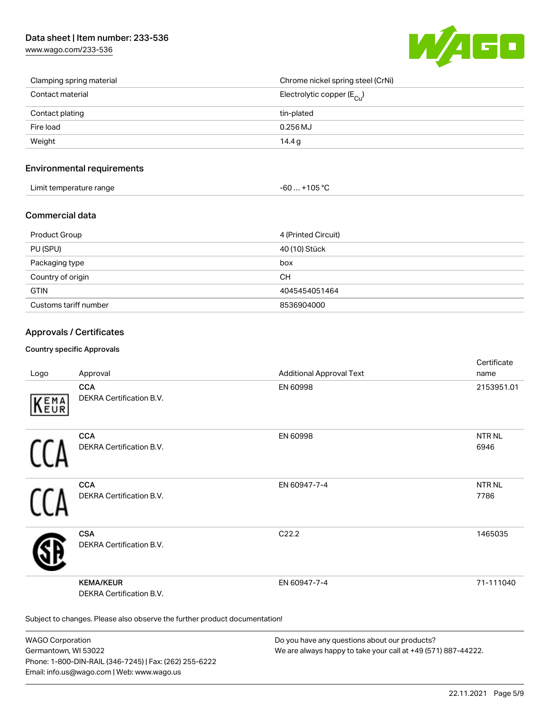# Data sheet | Item number: 233-536

[www.wago.com/233-536](http://www.wago.com/233-536)



| Clamping spring material | Chrome nickel spring steel (CrNi)       |
|--------------------------|-----------------------------------------|
| Contact material         | Electrolytic copper ( $E_{\text{Cl}}$ ) |
| Contact plating          | tin-plated                              |
| Fire load                | $0.256$ MJ                              |
| Weight                   | 14.4 g                                  |

### Environmental requirements

| Limit temperature range | $-60+105 °C$ |
|-------------------------|--------------|
|-------------------------|--------------|

### Commercial data

| Product Group         | 4 (Printed Circuit) |
|-----------------------|---------------------|
| PU (SPU)              | 40 (10) Stück       |
| Packaging type        | box                 |
| Country of origin     | <b>CH</b>           |
| <b>GTIN</b>           | 4045454051464       |
| Customs tariff number | 8536904000          |

### Approvals / Certificates

#### Country specific Approvals

| Logo       | Approval                                                                   | <b>Additional Approval Text</b> | Certificate<br>name  |
|------------|----------------------------------------------------------------------------|---------------------------------|----------------------|
| EMA<br>EUR | <b>CCA</b><br>DEKRA Certification B.V.                                     | EN 60998                        | 2153951.01           |
|            | <b>CCA</b><br>DEKRA Certification B.V.                                     | EN 60998                        | <b>NTRNL</b><br>6946 |
|            | <b>CCA</b><br>DEKRA Certification B.V.                                     | EN 60947-7-4                    | <b>NTRNL</b><br>7786 |
|            | <b>CSA</b><br>DEKRA Certification B.V.                                     | C22.2                           | 1465035              |
|            | <b>KEMA/KEUR</b><br><b>DEKRA Certification B.V.</b>                        | EN 60947-7-4                    | 71-111040            |
|            | Subject to changes. Please also observe the further product documentation! |                                 |                      |

WAGO Corporation Germantown, WI 53022 Phone: 1-800-DIN-RAIL (346-7245) | Fax: (262) 255-6222 Email: info.us@wago.com | Web: www.wago.us

Do you have any questions about our products? We are always happy to take your call at +49 (571) 887-44222.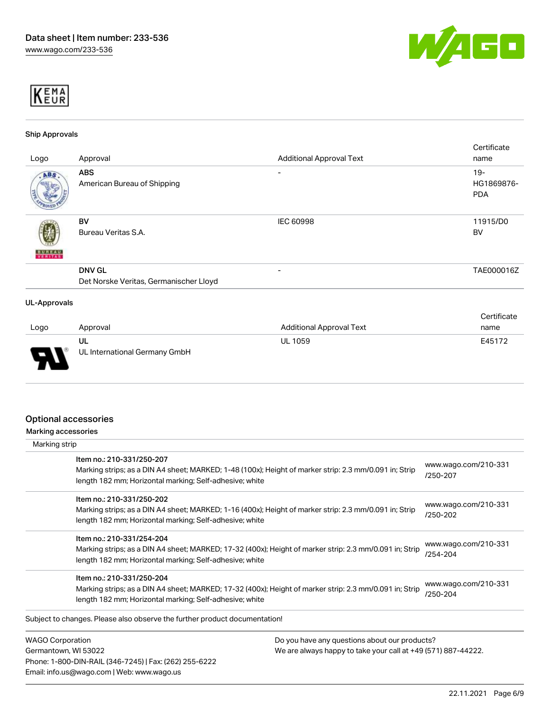



#### Ship Approvals

|                     |                                                                 |                                                                    | Certificate              |
|---------------------|-----------------------------------------------------------------|--------------------------------------------------------------------|--------------------------|
| Logo                | Approval                                                        | <b>Additional Approval Text</b>                                    | name                     |
| ABS.                | <b>ABS</b>                                                      | -                                                                  | $19 -$                   |
|                     | American Bureau of Shipping                                     |                                                                    | HG1869876-<br><b>PDA</b> |
|                     | <b>BV</b>                                                       | IEC 60998                                                          | 11915/D0                 |
|                     | Bureau Veritas S.A.                                             |                                                                    | BV                       |
| <b>BUREAU</b>       |                                                                 |                                                                    |                          |
|                     | <b>DNV GL</b>                                                   | -                                                                  | TAE000016Z               |
|                     | Det Norske Veritas, Germanischer Lloyd                          |                                                                    |                          |
| <b>UL-Approvals</b> |                                                                 |                                                                    |                          |
|                     |                                                                 |                                                                    | Certificate              |
|                     | $\mathbf{A}$ and $\mathbf{A}$ are $\mathbf{A}$ and $\mathbf{A}$ | $A = 1$ - $1 + 1 = 1$ and $A = 1$ and $A = 1$ . The set of $A = 1$ | $    -$                  |

| Logo   | Approval                            | <b>Additional Approval Text</b> | name   |
|--------|-------------------------------------|---------------------------------|--------|
| $\Box$ | UL<br>UL International Germany GmbH | <b>UL 1059</b>                  | E45172 |

## Optional accessories

Phone: 1-800-DIN-RAIL (346-7245) | Fax: (262) 255-6222

Email: info.us@wago.com | Web: www.wago.us

Marking accessories

| Marking strip                                                                        |                                                                                                         |                                                               |  |
|--------------------------------------------------------------------------------------|---------------------------------------------------------------------------------------------------------|---------------------------------------------------------------|--|
| Item no.: 210-331/250-207<br>length 182 mm; Horizontal marking; Self-adhesive; white | Marking strips; as a DIN A4 sheet; MARKED; 1-48 (100x); Height of marker strip: 2.3 mm/0.091 in; Strip  | www.wago.com/210-331<br>/250-207                              |  |
| Item no.: 210-331/250-202<br>length 182 mm; Horizontal marking; Self-adhesive; white | Marking strips; as a DIN A4 sheet; MARKED; 1-16 (400x); Height of marker strip: 2.3 mm/0.091 in; Strip  | www.wago.com/210-331<br>/250-202                              |  |
| Item no.: 210-331/254-204<br>length 182 mm; Horizontal marking; Self-adhesive; white | Marking strips; as a DIN A4 sheet; MARKED; 17-32 (400x); Height of marker strip: 2.3 mm/0.091 in; Strip | www.wago.com/210-331<br>/254-204                              |  |
| Item no.: 210-331/250-204<br>length 182 mm; Horizontal marking; Self-adhesive; white | Marking strips; as a DIN A4 sheet; MARKED; 17-32 (400x); Height of marker strip: 2.3 mm/0.091 in; Strip | www.wago.com/210-331<br>/250-204                              |  |
| Subject to changes. Please also observe the further product documentation!           |                                                                                                         |                                                               |  |
| <b>WAGO Corporation</b>                                                              | Do you have any questions about our products?                                                           |                                                               |  |
| Germantown, WI 53022                                                                 |                                                                                                         | We are always happy to take your call at +49 (571) 887-44222. |  |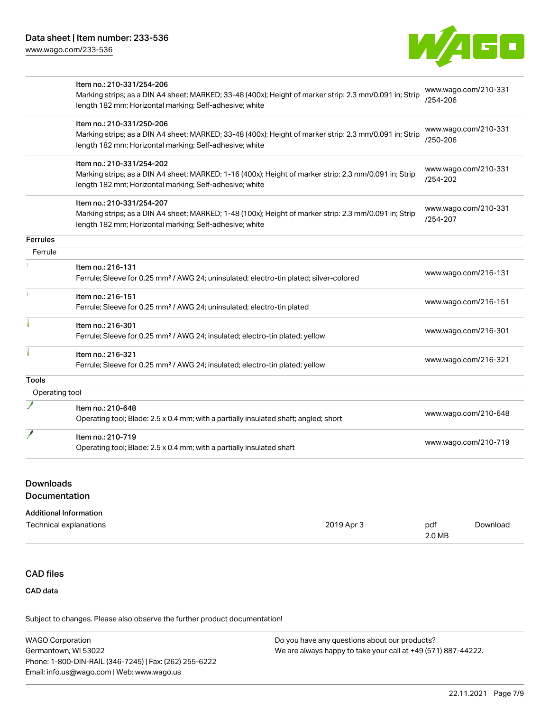

|                 | Item no.: 210-331/254-206                                                                               |                                  |
|-----------------|---------------------------------------------------------------------------------------------------------|----------------------------------|
|                 | Marking strips; as a DIN A4 sheet; MARKED; 33-48 (400x); Height of marker strip: 2.3 mm/0.091 in; Strip | www.wago.com/210-331             |
|                 | length 182 mm; Horizontal marking; Self-adhesive; white                                                 | /254-206                         |
|                 | Item no.: 210-331/250-206                                                                               |                                  |
|                 | Marking strips; as a DIN A4 sheet; MARKED; 33-48 (400x); Height of marker strip: 2.3 mm/0.091 in; Strip | www.wago.com/210-331<br>/250-206 |
|                 | length 182 mm; Horizontal marking; Self-adhesive; white                                                 |                                  |
|                 | Item no.: 210-331/254-202                                                                               |                                  |
|                 | Marking strips; as a DIN A4 sheet; MARKED; 1-16 (400x); Height of marker strip: 2.3 mm/0.091 in; Strip  | www.wago.com/210-331<br>/254-202 |
|                 | length 182 mm; Horizontal marking; Self-adhesive; white                                                 |                                  |
|                 | Item no.: 210-331/254-207                                                                               |                                  |
|                 | Marking strips; as a DIN A4 sheet; MARKED; 1-48 (100x); Height of marker strip: 2.3 mm/0.091 in; Strip  | www.wago.com/210-331<br>/254-207 |
|                 | length 182 mm; Horizontal marking; Self-adhesive; white                                                 |                                  |
| <b>Ferrules</b> |                                                                                                         |                                  |
| Ferrule         |                                                                                                         |                                  |
|                 | Item no.: 216-131                                                                                       | www.wago.com/216-131             |
|                 | Ferrule; Sleeve for 0.25 mm <sup>2</sup> / AWG 24; uninsulated; electro-tin plated; silver-colored      |                                  |
|                 | Item no.: 216-151                                                                                       |                                  |
|                 | Ferrule; Sleeve for 0.25 mm <sup>2</sup> / AWG 24; uninsulated; electro-tin plated                      | www.wago.com/216-151             |
|                 | Item no.: 216-301                                                                                       |                                  |
|                 | Ferrule; Sleeve for 0.25 mm <sup>2</sup> / AWG 24; insulated; electro-tin plated; yellow                | www.wago.com/216-301             |
|                 | Item no.: 216-321                                                                                       |                                  |
|                 | Ferrule; Sleeve for 0.25 mm <sup>2</sup> / AWG 24; insulated; electro-tin plated; yellow                | www.wago.com/216-321             |
| Tools           |                                                                                                         |                                  |
| Operating tool  |                                                                                                         |                                  |
|                 | Item no.: 210-648                                                                                       |                                  |
|                 | Operating tool; Blade: 2.5 x 0.4 mm; with a partially insulated shaft; angled; short                    | www.wago.com/210-648             |
|                 | Item no.: 210-719                                                                                       |                                  |
|                 | Operating tool; Blade: 2.5 x 0.4 mm; with a partially insulated shaft                                   | www.wago.com/210-719             |

# Downloads

## Documentation

| Technical explanations | 2019 Apr 3 | pdf    | Download |
|------------------------|------------|--------|----------|
|                        |            | 2.0 MB |          |

# CAD files

CAD data

Subject to changes. Please also observe the further product documentation!

| <b>WAGO Corporation</b>                                | Do you have any questions about our products?                 |
|--------------------------------------------------------|---------------------------------------------------------------|
| Germantown, WI 53022                                   | We are always happy to take your call at +49 (571) 887-44222. |
| Phone: 1-800-DIN-RAIL (346-7245)   Fax: (262) 255-6222 |                                                               |
| Email: info.us@wago.com   Web: www.wago.us             |                                                               |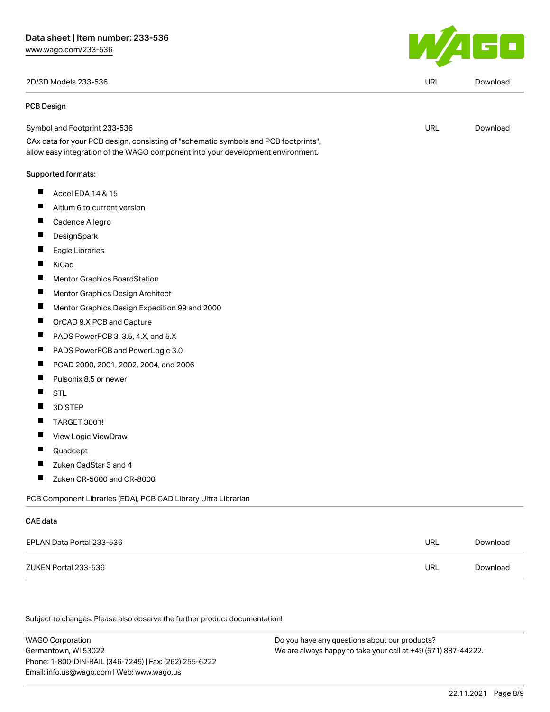2D/3D Models 233-536 URL [Download](https://www.wago.com/global/d/3D_URLS_233-536)

#### PCB Design



| .        |                                                                                                                                                                        |     |          |
|----------|------------------------------------------------------------------------------------------------------------------------------------------------------------------------|-----|----------|
|          | Symbol and Footprint 233-536                                                                                                                                           | URL | Download |
|          | CAx data for your PCB design, consisting of "schematic symbols and PCB footprints",<br>allow easy integration of the WAGO component into your development environment. |     |          |
|          | Supported formats:                                                                                                                                                     |     |          |
| ш        | Accel EDA 14 & 15                                                                                                                                                      |     |          |
| П        | Altium 6 to current version                                                                                                                                            |     |          |
| <b>I</b> | Cadence Allegro                                                                                                                                                        |     |          |
|          | <b>DesignSpark</b>                                                                                                                                                     |     |          |
|          | Eagle Libraries                                                                                                                                                        |     |          |
|          |                                                                                                                                                                        |     |          |

- $\blacksquare$ KiCad
- $\blacksquare$ Mentor Graphics BoardStation
- $\blacksquare$ Mentor Graphics Design Architect
- $\blacksquare$ Mentor Graphics Design Expedition 99 and 2000
- $\blacksquare$ OrCAD 9.X PCB and Capture
- $\blacksquare$ PADS PowerPCB 3, 3.5, 4.X, and 5.X
- $\blacksquare$ PADS PowerPCB and PowerLogic 3.0
- $\blacksquare$ PCAD 2000, 2001, 2002, 2004, and 2006
- $\blacksquare$ Pulsonix 8.5 or newer
- $\blacksquare$ STL
- $\blacksquare$ 3D STEP
- $\blacksquare$ TARGET 3001!
- $\blacksquare$ View Logic ViewDraw
- $\blacksquare$ Quadcept
- $\blacksquare$ Zuken CadStar 3 and 4
- $\blacksquare$ Zuken CR-5000 and CR-8000

PCB Component Libraries (EDA), PCB CAD Library Ultra Librarian

### CAE data

| EPLAN Data Portal 233-536 | <b>URL</b> | Download |
|---------------------------|------------|----------|
| ZUKEN Portal 233-536      | URL        | Download |

Subject to changes. Please also observe the further product documentation!

WAGO Corporation Germantown, WI 53022 Phone: 1-800-DIN-RAIL (346-7245) | Fax: (262) 255-6222 Email: info.us@wago.com | Web: www.wago.us Do you have any questions about our products? We are always happy to take your call at +49 (571) 887-44222.